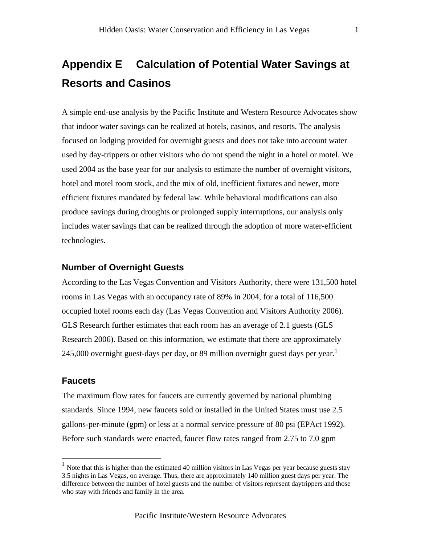# **Appendix E Calculation of Potential Water Savings at Resorts and Casinos**

A simple end-use analysis by the Pacific Institute and Western Resource Advocates show that indoor water savings can be realized at hotels, casinos, and resorts. The analysis focused on lodging provided for overnight guests and does not take into account water used by day-trippers or other visitors who do not spend the night in a hotel or motel. We used 2004 as the base year for our analysis to estimate the number of overnight visitors, hotel and motel room stock, and the mix of old, inefficient fixtures and newer, more efficient fixtures mandated by federal law. While behavioral modifications can also produce savings during droughts or prolonged supply interruptions, our analysis only includes water savings that can be realized through the adoption of more water-efficient technologies.

# **Number of Overnight Guests**

According to the Las Vegas Convention and Visitors Authority, there were 131,500 hotel rooms in Las Vegas with an occupancy rate of 89% in 2004, for a total of 116,500 occupied hotel rooms each day (Las Vegas Convention and Visitors Authority 2006). GLS Research further estimates that each room has an average of 2.1 guests (GLS Research 2006). Based on this information, we estimate that there are approximately 245,000 overnight guest-days per day, or 89 million overnight guest days per year.<sup>1</sup>

#### **Faucets**

 $\overline{a}$ 

The maximum flow rates for faucets are currently governed by national plumbing standards. Since 1994, new faucets sold or installed in the United States must use 2.5 gallons-per-minute (gpm) or less at a normal service pressure of 80 psi (EPAct 1992). Before such standards were enacted, faucet flow rates ranged from 2.75 to 7.0 gpm

 $1$  Note that this is higher than the estimated 40 million visitors in Las Vegas per year because guests stay 3.5 nights in Las Vegas, on average. Thus, there are approximately 140 million guest days per year. The difference between the number of hotel guests and the number of visitors represent daytrippers and those who stay with friends and family in the area.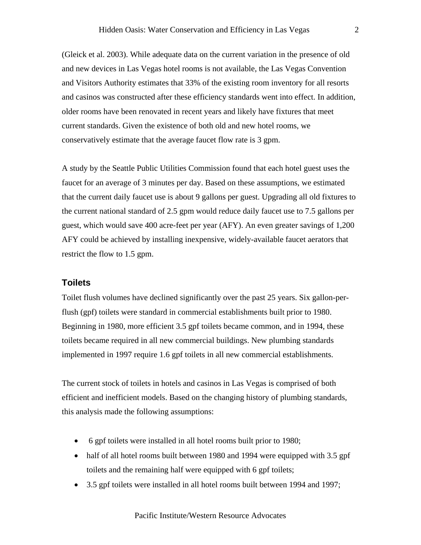(Gleick et al. 2003). While adequate data on the current variation in the presence of old and new devices in Las Vegas hotel rooms is not available, the Las Vegas Convention and Visitors Authority estimates that 33% of the existing room inventory for all resorts and casinos was constructed after these efficiency standards went into effect. In addition, older rooms have been renovated in recent years and likely have fixtures that meet current standards. Given the existence of both old and new hotel rooms, we conservatively estimate that the average faucet flow rate is 3 gpm.

A study by the Seattle Public Utilities Commission found that each hotel guest uses the faucet for an average of 3 minutes per day. Based on these assumptions, we estimated that the current daily faucet use is about 9 gallons per guest. Upgrading all old fixtures to the current national standard of 2.5 gpm would reduce daily faucet use to 7.5 gallons per guest, which would save 400 acre-feet per year (AFY). An even greater savings of 1,200 AFY could be achieved by installing inexpensive, widely-available faucet aerators that restrict the flow to 1.5 gpm.

## **Toilets**

Toilet flush volumes have declined significantly over the past 25 years. Six gallon-perflush (gpf) toilets were standard in commercial establishments built prior to 1980. Beginning in 1980, more efficient 3.5 gpf toilets became common, and in 1994, these toilets became required in all new commercial buildings. New plumbing standards implemented in 1997 require 1.6 gpf toilets in all new commercial establishments.

The current stock of toilets in hotels and casinos in Las Vegas is comprised of both efficient and inefficient models. Based on the changing history of plumbing standards, this analysis made the following assumptions:

- 6 gpf toilets were installed in all hotel rooms built prior to 1980;
- half of all hotel rooms built between 1980 and 1994 were equipped with 3.5 gpf toilets and the remaining half were equipped with 6 gpf toilets;
- 3.5 gpf toilets were installed in all hotel rooms built between 1994 and 1997;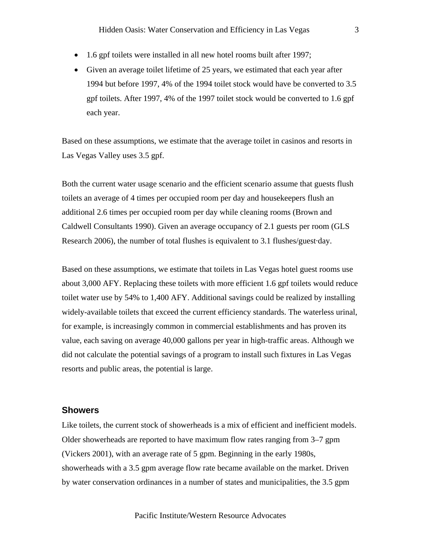- 1.6 gpf toilets were installed in all new hotel rooms built after 1997;
- Given an average toilet lifetime of 25 years, we estimated that each year after 1994 but before 1997, 4% of the 1994 toilet stock would have be converted to 3.5 gpf toilets. After 1997, 4% of the 1997 toilet stock would be converted to 1.6 gpf each year.

Based on these assumptions, we estimate that the average toilet in casinos and resorts in Las Vegas Valley uses 3.5 gpf.

Both the current water usage scenario and the efficient scenario assume that guests flush toilets an average of 4 times per occupied room per day and housekeepers flush an additional 2.6 times per occupied room per day while cleaning rooms (Brown and Caldwell Consultants 1990). Given an average occupancy of 2.1 guests per room (GLS Research 2006), the number of total flushes is equivalent to 3.1 flushes/guest·day.

Based on these assumptions, we estimate that toilets in Las Vegas hotel guest rooms use about 3,000 AFY. Replacing these toilets with more efficient 1.6 gpf toilets would reduce toilet water use by 54% to 1,400 AFY. Additional savings could be realized by installing widely-available toilets that exceed the current efficiency standards. The waterless urinal, for example, is increasingly common in commercial establishments and has proven its value, each saving on average 40,000 gallons per year in high-traffic areas. Although we did not calculate the potential savings of a program to install such fixtures in Las Vegas resorts and public areas, the potential is large.

# **Showers**

Like toilets, the current stock of showerheads is a mix of efficient and inefficient models. Older showerheads are reported to have maximum flow rates ranging from 3–7 gpm (Vickers 2001), with an average rate of 5 gpm. Beginning in the early 1980s, showerheads with a 3.5 gpm average flow rate became available on the market. Driven by water conservation ordinances in a number of states and municipalities, the 3.5 gpm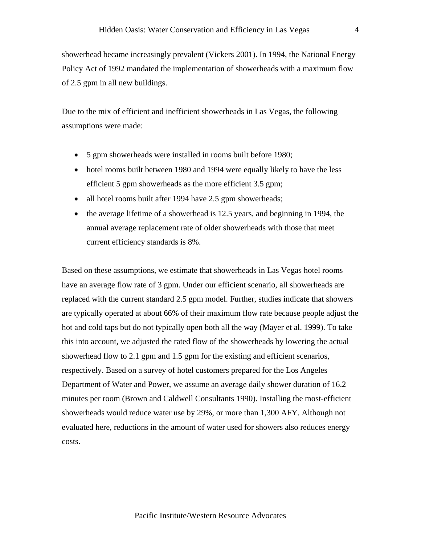showerhead became increasingly prevalent (Vickers 2001). In 1994, the National Energy Policy Act of 1992 mandated the implementation of showerheads with a maximum flow of 2.5 gpm in all new buildings.

Due to the mix of efficient and inefficient showerheads in Las Vegas, the following assumptions were made:

- 5 gpm showerheads were installed in rooms built before 1980;
- hotel rooms built between 1980 and 1994 were equally likely to have the less efficient 5 gpm showerheads as the more efficient 3.5 gpm;
- all hotel rooms built after 1994 have 2.5 gpm showerheads;
- the average lifetime of a showerhead is 12.5 years, and beginning in 1994, the annual average replacement rate of older showerheads with those that meet current efficiency standards is 8%.

Based on these assumptions, we estimate that showerheads in Las Vegas hotel rooms have an average flow rate of 3 gpm. Under our efficient scenario, all showerheads are replaced with the current standard 2.5 gpm model. Further, studies indicate that showers are typically operated at about 66% of their maximum flow rate because people adjust the hot and cold taps but do not typically open both all the way (Mayer et al. 1999). To take this into account, we adjusted the rated flow of the showerheads by lowering the actual showerhead flow to 2.1 gpm and 1.5 gpm for the existing and efficient scenarios, respectively. Based on a survey of hotel customers prepared for the Los Angeles Department of Water and Power, we assume an average daily shower duration of 16.2 minutes per room (Brown and Caldwell Consultants 1990). Installing the most-efficient showerheads would reduce water use by 29%, or more than 1,300 AFY. Although not evaluated here, reductions in the amount of water used for showers also reduces energy costs.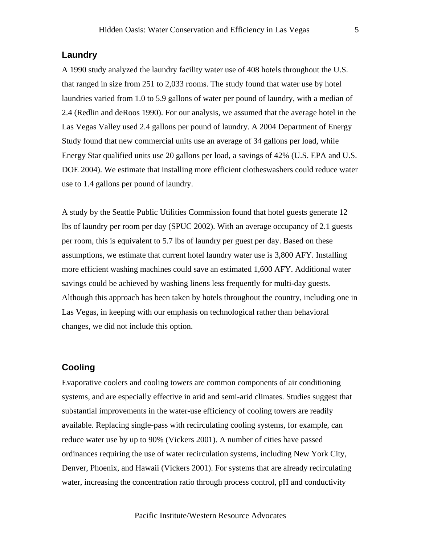# **Laundry**

A 1990 study analyzed the laundry facility water use of 408 hotels throughout the U.S. that ranged in size from 251 to 2,033 rooms. The study found that water use by hotel laundries varied from 1.0 to 5.9 gallons of water per pound of laundry, with a median of 2.4 (Redlin and deRoos 1990). For our analysis, we assumed that the average hotel in the Las Vegas Valley used 2.4 gallons per pound of laundry. A 2004 Department of Energy Study found that new commercial units use an average of 34 gallons per load, while Energy Star qualified units use 20 gallons per load, a savings of 42% (U.S. EPA and U.S. DOE 2004). We estimate that installing more efficient clotheswashers could reduce water use to 1.4 gallons per pound of laundry.

A study by the Seattle Public Utilities Commission found that hotel guests generate 12 lbs of laundry per room per day (SPUC 2002). With an average occupancy of 2.1 guests per room, this is equivalent to 5.7 lbs of laundry per guest per day. Based on these assumptions, we estimate that current hotel laundry water use is 3,800 AFY. Installing more efficient washing machines could save an estimated 1,600 AFY. Additional water savings could be achieved by washing linens less frequently for multi-day guests. Although this approach has been taken by hotels throughout the country, including one in Las Vegas, in keeping with our emphasis on technological rather than behavioral changes, we did not include this option.

# **Cooling**

Evaporative coolers and cooling towers are common components of air conditioning systems, and are especially effective in arid and semi-arid climates. Studies suggest that substantial improvements in the water-use efficiency of cooling towers are readily available. Replacing single-pass with recirculating cooling systems, for example, can reduce water use by up to 90% (Vickers 2001). A number of cities have passed ordinances requiring the use of water recirculation systems, including New York City, Denver, Phoenix, and Hawaii (Vickers 2001). For systems that are already recirculating water, increasing the concentration ratio through process control, pH and conductivity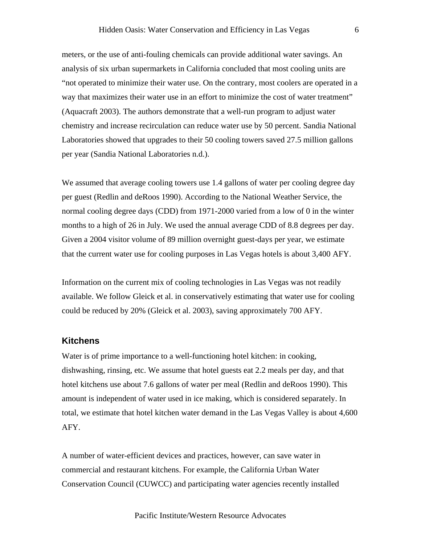meters, or the use of anti-fouling chemicals can provide additional water savings. An analysis of six urban supermarkets in California concluded that most cooling units are "not operated to minimize their water use. On the contrary, most coolers are operated in a way that maximizes their water use in an effort to minimize the cost of water treatment" (Aquacraft 2003). The authors demonstrate that a well-run program to adjust water chemistry and increase recirculation can reduce water use by 50 percent. Sandia National Laboratories showed that upgrades to their 50 cooling towers saved 27.5 million gallons per year (Sandia National Laboratories n.d.).

We assumed that average cooling towers use 1.4 gallons of water per cooling degree day per guest (Redlin and deRoos 1990). According to the National Weather Service, the normal cooling degree days (CDD) from 1971-2000 varied from a low of 0 in the winter months to a high of 26 in July. We used the annual average CDD of 8.8 degrees per day. Given a 2004 visitor volume of 89 million overnight guest-days per year, we estimate that the current water use for cooling purposes in Las Vegas hotels is about 3,400 AFY.

Information on the current mix of cooling technologies in Las Vegas was not readily available. We follow Gleick et al. in conservatively estimating that water use for cooling could be reduced by 20% (Gleick et al. 2003), saving approximately 700 AFY.

# **Kitchens**

Water is of prime importance to a well-functioning hotel kitchen: in cooking, dishwashing, rinsing, etc. We assume that hotel guests eat 2.2 meals per day, and that hotel kitchens use about 7.6 gallons of water per meal (Redlin and deRoos 1990). This amount is independent of water used in ice making, which is considered separately. In total, we estimate that hotel kitchen water demand in the Las Vegas Valley is about 4,600 AFY.

A number of water-efficient devices and practices, however, can save water in commercial and restaurant kitchens. For example, the California Urban Water Conservation Council (CUWCC) and participating water agencies recently installed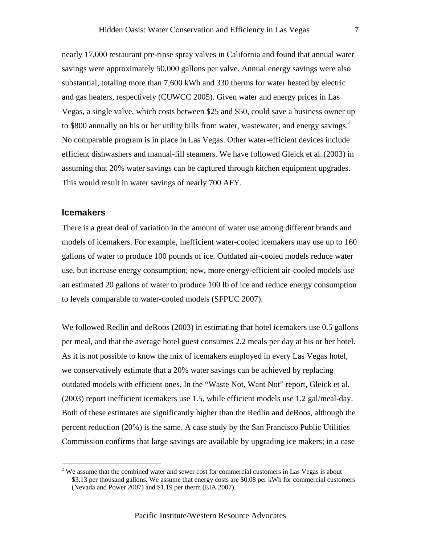nearly 17,000 restaurant pre-rinse spray valves in California and found that annual water savings were approximately 50,000 gallons per valve. Annual energy savings were also substantial, totaling more than 7,600 kWh and 330 therms for water heated by electric and gas heaters, respectively (CUWCC 2005). Given water and energy prices in Las Vegas, a single valve, which costs between \$25 and \$50, could save a business owner up to \$800 annually on his or her utility bills from water, wastewater, and energy savings.<sup>2</sup> No comparable program is in place in Las Vegas. Other water-efficient devices include efficient dishwashers and manual-fill steamers. We have followed Gleick et al.(2003) in assuming that 20% water savings can be captured through kitchen equipment upgrades. This would result in water savings of nearly 700 AFY.

## **Icemakers**

 $\overline{a}$ 

There is a great deal of variation in the amount of water use among different brands and models of icemakers. For example, inefficient water-cooled icemakers may use up to 160 gallons of water to produce 100 pounds of ice. Outdated air-cooled models reduce water use, but increase energy consumption; new, more energy-efficient air-cooled models use an estimated 20 gallons of water to produce 100 lb of ice and reduce energy consumption to levels comparable to water-cooled models (SFPUC 2007).

We followed Redlin and deRoos (2003) in estimating that hotel icemakers use 0.5 gallons per meal, and that the average hotel guest consumes 2.2 meals per day at his or her hotel. As it is not possible to know the mix of icemakers employed in every Las Vegas hotel, we conservatively estimate that a 20% water savings can be achieved by replacing outdated models with efficient ones. In the "Waste Not, Want Not" report, Gleick et al. (2003) report inefficient icemakers use 1.5, while efficient models use 1.2 gal/meal-day. Both of these estimates are significantly higher than the Redlin and deRoos, although the percent reduction (20%) is the same. A case study by the San Francisco Public Utilities Commission confirms that large savings are available by upgrading ice makers; in a case

 $2$  We assume that the combined water and sewer cost for commercial customers in Las Vegas is about \$3.13 per thousand gallons. We assume that energy costs are \$0.08 per kWh for commercial customers (Nevada and Power 2007) and \$1.19 per therm (EIA 2007).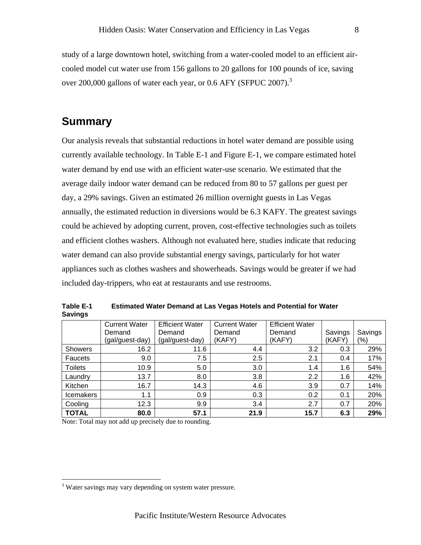study of a large downtown hotel, switching from a water-cooled model to an efficient aircooled model cut water use from 156 gallons to 20 gallons for 100 pounds of ice, saving over 200,000 gallons of water each year, or 0.6 AFY (SFPUC 2007). $^3$ 

# **Summary**

Our analysis reveals that substantial reductions in hotel water demand are possible using currently available technology. In Table E-1 and Figure E-1, we compare estimated hotel water demand by end use with an efficient water-use scenario. We estimated that the average daily indoor water demand can be reduced from 80 to 57 gallons per guest per day, a 29% savings. Given an estimated 26 million overnight guests in Las Vegas annually, the estimated reduction in diversions would be 6.3 KAFY. The greatest savings could be achieved by adopting current, proven, cost-effective technologies such as toilets and efficient clothes washers. Although not evaluated here, studies indicate that reducing water demand can also provide substantial energy savings, particularly for hot water appliances such as clothes washers and showerheads. Savings would be greater if we had included day-trippers, who eat at restaurants and use restrooms.

|                  | <b>Current Water</b> | <b>Efficient Water</b> | <b>Current Water</b> | <b>Efficient Water</b> |         |         |
|------------------|----------------------|------------------------|----------------------|------------------------|---------|---------|
|                  | Demand               | Demand                 | Demand               | Demand                 | Savings | Savings |
|                  | (gal/guest-day)      | (gal/guest-day)        | (KAFY)               | (KAFY)                 | (KAFY   | (%)     |
| <b>Showers</b>   | 16.2                 | 11.6                   | 4.4                  | 3.2                    | 0.3     | 29%     |
| Faucets          | 9.0                  | 7.5                    | 2.5                  | 2.1                    | 0.4     | 17%     |
| <b>Toilets</b>   | 10.9                 | 5.0                    | 3.0                  | 1.4                    | 1.6     | 54%     |
| Laundry          | 13.7                 | 8.0                    | 3.8                  | 2.2                    | 1.6     | 42%     |
| Kitchen          | 16.7                 | 14.3                   | 4.6                  | 3.9                    | 0.7     | 14%     |
| <b>Icemakers</b> | 1.1                  | 0.9                    | 0.3                  | 0.2                    | 0.1     | 20%     |
| Cooling          | 12.3                 | 9.9                    | 3.4                  | 2.7                    | 0.7     | 20%     |
| <b>TOTAL</b>     | 80.0                 | 57.1                   | 21.9                 | 15.7                   | 6.3     | 29%     |

**Table E-1 Estimated Water Demand at Las Vegas Hotels and Potential for Water Savings** 

Note: Total may not add up precisely due to rounding.

 $\overline{a}$ 

<sup>&</sup>lt;sup>3</sup> Water savings may vary depending on system water pressure.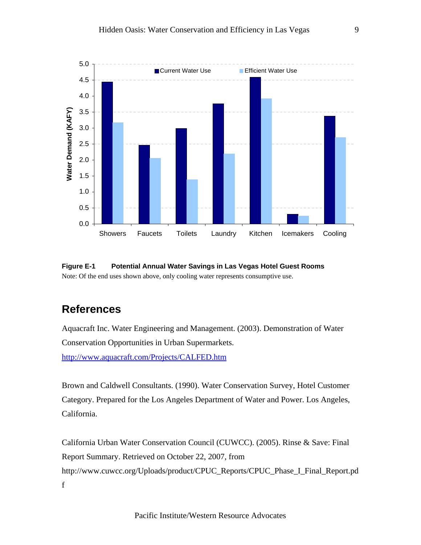

# **Figure E-1 Potential Annual Water Savings in Las Vegas Hotel Guest Rooms**  Note: Of the end uses shown above, only cooling water represents consumptive use.

# **References**

Aquacraft Inc. Water Engineering and Management. (2003). Demonstration of Water Conservation Opportunities in Urban Supermarkets.

http://www.aquacraft.com/Projects/CALFED.htm

Brown and Caldwell Consultants. (1990). Water Conservation Survey, Hotel Customer Category. Prepared for the Los Angeles Department of Water and Power. Los Angeles, California.

California Urban Water Conservation Council (CUWCC). (2005). Rinse & Save: Final Report Summary. Retrieved on October 22, 2007, from http://www.cuwcc.org/Uploads/product/CPUC\_Reports/CPUC\_Phase\_I\_Final\_Report.pd f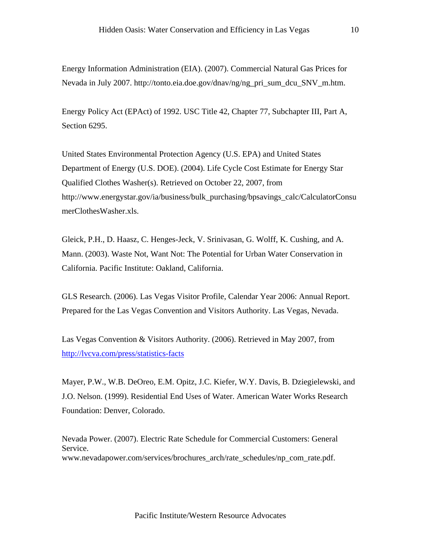Energy Information Administration (EIA). (2007). Commercial Natural Gas Prices for Nevada in July 2007. http://tonto.eia.doe.gov/dnav/ng/ng\_pri\_sum\_dcu\_SNV\_m.htm.

Energy Policy Act (EPAct) of 1992. USC Title 42, Chapter 77, Subchapter III, Part A, Section 6295.

United States Environmental Protection Agency (U.S. EPA) and United States Department of Energy (U.S. DOE). (2004). Life Cycle Cost Estimate for Energy Star Qualified Clothes Washer(s). Retrieved on October 22, 2007, from http://www.energystar.gov/ia/business/bulk\_purchasing/bpsavings\_calc/CalculatorConsu merClothesWasher.xls.

Gleick, P.H., D. Haasz, C. Henges-Jeck, V. Srinivasan, G. Wolff, K. Cushing, and A. Mann. (2003). Waste Not, Want Not: The Potential for Urban Water Conservation in California. Pacific Institute: Oakland, California.

GLS Research. (2006). Las Vegas Visitor Profile, Calendar Year 2006: Annual Report. Prepared for the Las Vegas Convention and Visitors Authority. Las Vegas, Nevada.

Las Vegas Convention & Visitors Authority. (2006). Retrieved in May 2007, from http://lvcva.com/press/statistics-facts

Mayer, P.W., W.B. DeOreo, E.M. Opitz, J.C. Kiefer, W.Y. Davis, B. Dziegielewski, and J.O. Nelson. (1999). Residential End Uses of Water. American Water Works Research Foundation: Denver, Colorado.

Nevada Power. (2007). Electric Rate Schedule for Commercial Customers: General Service. www.nevadapower.com/services/brochures\_arch/rate\_schedules/np\_com\_rate.pdf.